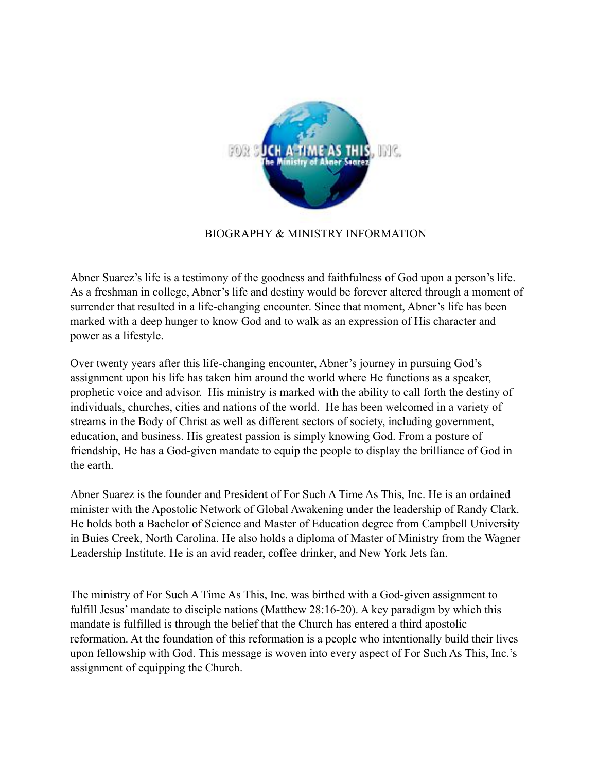

## BIOGRAPHY & MINISTRY INFORMATION

Abner Suarez's life is a testimony of the goodness and faithfulness of God upon a person's life. As a freshman in college, Abner's life and destiny would be forever altered through a moment of surrender that resulted in a life-changing encounter. Since that moment, Abner's life has been marked with a deep hunger to know God and to walk as an expression of His character and power as a lifestyle.

Over twenty years after this life-changing encounter, Abner's journey in pursuing God's assignment upon his life has taken him around the world where He functions as a speaker, prophetic voice and advisor. His ministry is marked with the ability to call forth the destiny of individuals, churches, cities and nations of the world. He has been welcomed in a variety of streams in the Body of Christ as well as different sectors of society, including government, education, and business. His greatest passion is simply knowing God. From a posture of friendship, He has a God-given mandate to equip the people to display the brilliance of God in the earth.

Abner Suarez is the founder and President of For Such A Time As This, Inc. He is an ordained minister with the Apostolic Network of Global Awakening under the leadership of Randy Clark. He holds both a Bachelor of Science and Master of Education degree from Campbell University in Buies Creek, North Carolina. He also holds a diploma of Master of Ministry from the Wagner Leadership Institute. He is an avid reader, coffee drinker, and New York Jets fan.

The ministry of For Such A Time As This, Inc. was birthed with a God-given assignment to fulfill Jesus' mandate to disciple nations (Matthew 28:16-20). A key paradigm by which this mandate is fulfilled is through the belief that the Church has entered a third apostolic reformation. At the foundation of this reformation is a people who intentionally build their lives upon fellowship with God. This message is woven into every aspect of For Such As This, Inc.'s assignment of equipping the Church.